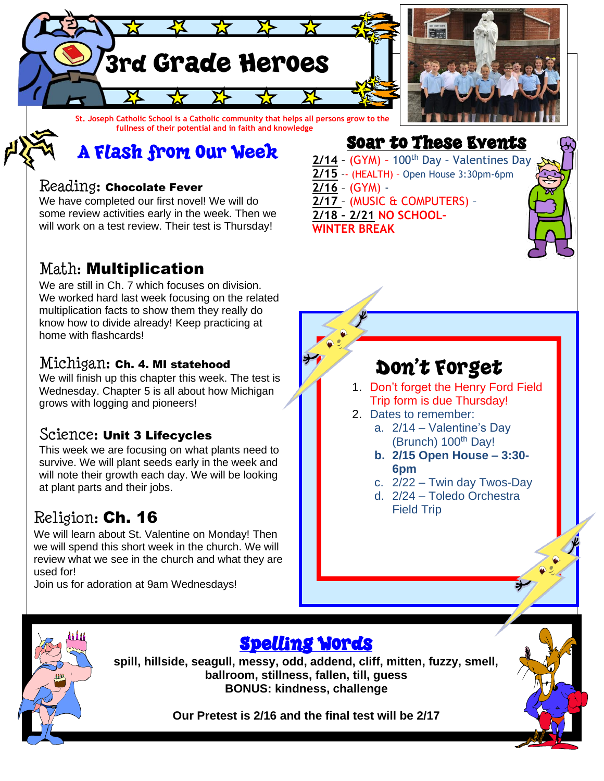

**St. Joseph Catholic School is a Catholic community that helps all persons grow to the fullness of their potential and in faith and knowledge**

## A Flash from Our Week

#### Reading: Chocolate Fever

We have completed our first novel! We will do some review activities early in the week. Then we will work on a test review. Their test is Thursday!

#### Math: Multiplication

We are still in Ch. 7 which focuses on division. We worked hard last week focusing on the related multiplication facts to show them they really do know how to divide already! Keep practicing at home with flashcards!

#### Michigan: Ch. 4. MI statehood

We will finish up this chapter this week. The test is Wednesday. Chapter 5 is all about how Michigan grows with logging and pioneers!

#### Science: Unit 3 Lifecycles

This week we are focusing on what plants need to survive. We will plant seeds early in the week and will note their growth each day. We will be looking at plant parts and their jobs.

#### Religion: Ch. 16

We will learn about St. Valentine on Monday! Then we will spend this short week in the church. We will review what we see in the church and what they are used for!

Join us for adoration at 9am Wednesdays!

## Soar to These Events

 $2/14$  - (GYM) - 100<sup>th</sup> Day - Valentines Day **2/15** –- (HEALTH) – Open House 3:30pm-6pm **2/16** – (GYM) - **2/17** – (MUSIC & COMPUTERS) – **2/18 – 2/21 NO SCHOOL– WINTER BREAK**

## Don't Forget

- 1. Don't forget the Henry Ford Field Trip form is due Thursday!
- 2. Dates to remember:
	- a. 2/14 Valentine's Day (Brunch) 100<sup>th</sup> Day!
	- **b. 2/15 Open House – 3:30- 6pm**
	- c. 2/22 Twin day Twos-Day
	- d. 2/24 Toledo Orchestra Field Trip



### Spelling Words

**spill, hillside, seagull, messy, odd, addend, cliff, mitten, fuzzy, smell, ballroom, stillness, fallen, till, guess BONUS: kindness, challenge**

**Our Pretest is 2/16 and the final test will be 2/17**